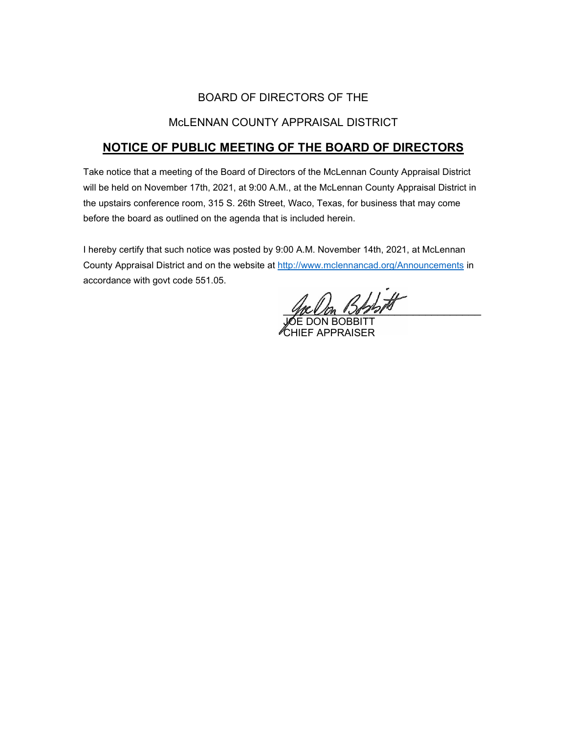# BOARD OF DIRECTORS OF THE

# McLENNAN COUNTY APPRAISAL DISTRICT

# **NOTICE OF PUBLIC MEETING OF THE BOARD OF DIRECTORS**

Take notice that a meeting of the Board of Directors of the McLennan County Appraisal District will be held on November 17th, 2021, at 9:00 A.M., at the McLennan County Appraisal District in the upstairs conference room, 315 S. 26th Street, Waco, Texas, for business that may come before the board as outlined on the agenda that is included herein.

I hereby certify that such notice was posted by 9:00 A.M. November 14th, 2021, at McLennan County Appraisal District and on the website at [http://www.mclennancad.org/Announcements](http://www.mclennancad.org/index.php/Announcements) in accordance with govt code 551.05.

 $B$ book

JOE DON BOBBITT CHIEF APPRAISER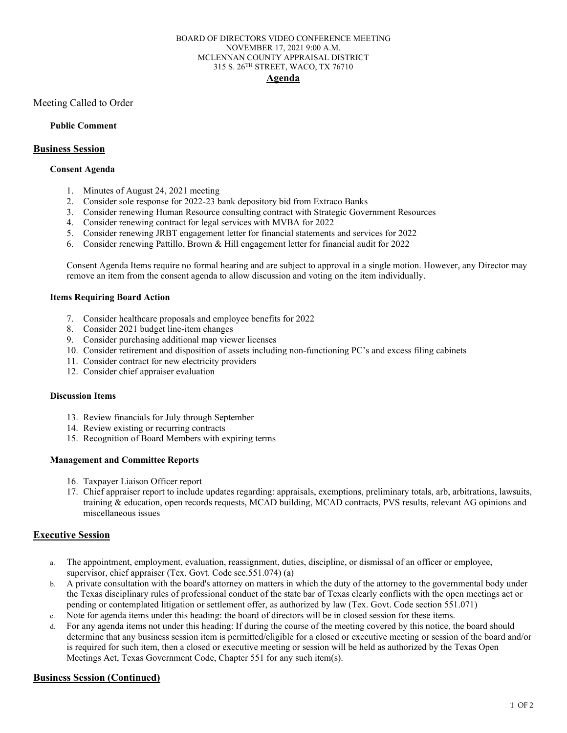#### BOARD OF DIRECTORS VIDEO CONFERENCE MEETING NOVEMBER 17, 2021 9:00 A.M. MCLENNAN COUNTY APPRAISAL DISTRICT 315 S. 26TH STREET, WACO, TX 76710 **Agenda**

Meeting Called to Order

### **Public Comment**

### **Business Session**

#### **Consent Agenda**

- 1. Minutes of August 24, 2021 meeting
- 2. Consider sole response for 2022-23 bank depository bid from Extraco Banks
- 3. Consider renewing Human Resource consulting contract with Strategic Government Resources
- 4. Consider renewing contract for legal services with MVBA for 2022
- 5. Consider renewing JRBT engagement letter for financial statements and services for 2022
- 6. Consider renewing Pattillo, Brown & Hill engagement letter for financial audit for 2022

Consent Agenda Items require no formal hearing and are subject to approval in a single motion. However, any Director may remove an item from the consent agenda to allow discussion and voting on the item individually.

### **Items Requiring Board Action**

- 7. Consider healthcare proposals and employee benefits for 2022
- 8. Consider 2021 budget line-item changes
- 9. Consider purchasing additional map viewer licenses
- 10. Consider retirement and disposition of assets including non-functioning PC's and excess filing cabinets
- 11. Consider contract for new electricity providers
- 12. Consider chief appraiser evaluation

#### **Discussion Items**

- 13. Review financials for July through September
- 14. Review existing or recurring contracts
- 15. Recognition of Board Members with expiring terms

#### **Management and Committee Reports**

- 16. Taxpayer Liaison Officer report
- 17. Chief appraiser report to include updates regarding: appraisals, exemptions, preliminary totals, arb, arbitrations, lawsuits, training & education, open records requests, MCAD building, MCAD contracts, PVS results, relevant AG opinions and miscellaneous issues

## **Executive Session**

- a. The appointment, employment, evaluation, reassignment, duties, discipline, or dismissal of an officer or employee, supervisor, chief appraiser (Tex. Govt. Code sec.551.074) (a)
- b. A private consultation with the board's attorney on matters in which the duty of the attorney to the governmental body under the Texas disciplinary rules of professional conduct of the state bar of Texas clearly conflicts with the open meetings act or pending or contemplated litigation or settlement offer, as authorized by law (Tex. Govt. Code section 551.071)
- c. Note for agenda items under this heading: the board of directors will be in closed session for these items.
- d. For any agenda items not under this heading: If during the course of the meeting covered by this notice, the board should determine that any business session item is permitted/eligible for a closed or executive meeting or session of the board and/or is required for such item, then a closed or executive meeting or session will be held as authorized by the Texas Open Meetings Act, Texas Government Code, Chapter 551 for any such item(s).

## **Business Session (Continued)**